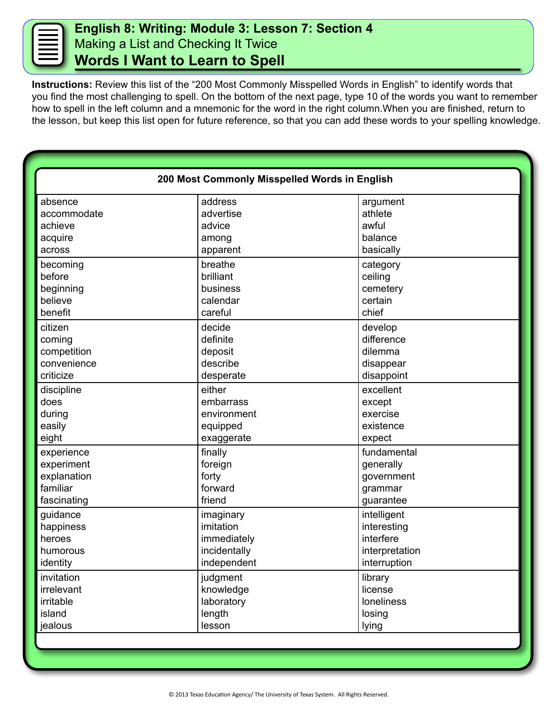## **English 8: Writing: Module 3: Lesson 7: Section 4** Making a List and Checking It Twice **Words I Want to Learn to Spell**

**Instructions:** Review this list of the "200 Most Commonly Misspelled Words in English" to identify words that you find the most challenging to spell. On the bottom of the next page, type 10 of the words you want to remember how to spell in the left column and a mnemonic for the word in the right column.When you are finished, return to the lesson, but keep this list open for future reference, so that you can add these words to your spelling knowledge.

| 200 Most Commonly Misspelled Words in English |                      |                     |  |  |
|-----------------------------------------------|----------------------|---------------------|--|--|
|                                               |                      |                     |  |  |
| absence<br>accommodate                        | address<br>advertise | argument<br>athlete |  |  |
| achieve                                       | advice               | awful               |  |  |
| acquire                                       | among                | balance             |  |  |
| across                                        | apparent             | basically           |  |  |
|                                               |                      |                     |  |  |
| becoming                                      | breathe              | category            |  |  |
| before                                        | brilliant            | ceiling             |  |  |
| beginning                                     | business             | cemetery            |  |  |
| believe                                       | calendar             | certain             |  |  |
| benefit                                       | careful              | chief               |  |  |
| citizen                                       | decide               | develop             |  |  |
| coming                                        | definite             | difference          |  |  |
| competition                                   | deposit              | dilemma             |  |  |
| convenience                                   | describe             | disappear           |  |  |
| criticize                                     | desperate            | disappoint          |  |  |
| discipline                                    | either               | excellent           |  |  |
| does                                          | embarrass            | except              |  |  |
| during                                        | environment          | exercise            |  |  |
| easily                                        | equipped             | existence           |  |  |
| eight                                         | exaggerate           | expect              |  |  |
| experience                                    | finally              | fundamental         |  |  |
| experiment                                    | foreign              | generally           |  |  |
| explanation                                   | forty                | government          |  |  |
| familiar                                      | forward              | grammar             |  |  |
| fascinating                                   | friend               | guarantee           |  |  |
| guidance                                      | imaginary            | intelligent         |  |  |
| happiness                                     | imitation            | interesting         |  |  |
| heroes                                        | immediately          | interfere           |  |  |
| humorous                                      | incidentally         | interpretation      |  |  |
| identity                                      | independent          | interruption        |  |  |
| invitation                                    | judgment             | library             |  |  |
| irrelevant                                    | knowledge            | license             |  |  |
| irritable                                     | laboratory           | loneliness          |  |  |
| island                                        | length               | losing              |  |  |
| jealous                                       | lesson               | lying               |  |  |
|                                               |                      |                     |  |  |
|                                               |                      |                     |  |  |